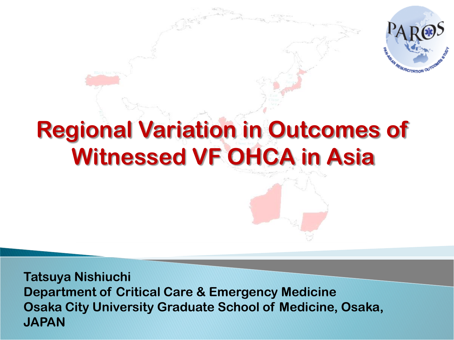

**Tatsuya Nishiuchi Department of Critical Care & Emergency Medicine Osaka City University Graduate School of Medicine, Osaka, JAPAN**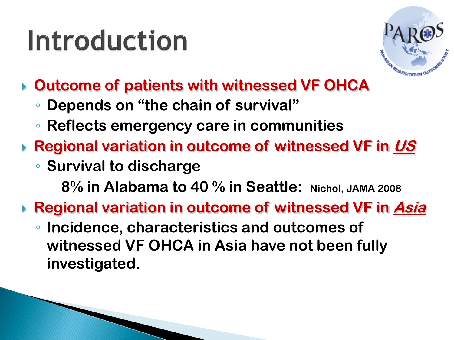## Introduction



- **Outcome of patients with witnessed VF OHCA**
	- **Depends on "the chain of survival"**
	- **Reflects emergency care in communities**
- **Regional variation in outcome of witnessed VF in US**
	- **Survival to discharge**

**8% in Alabama to 40 % in Seattle: Nichol, JAMA 2008**

- **Regional variation in outcome of witnessed VF in Asia**
	- **Incidence, characteristics and outcomes of witnessed VF OHCA in Asia have not been fully investigated.**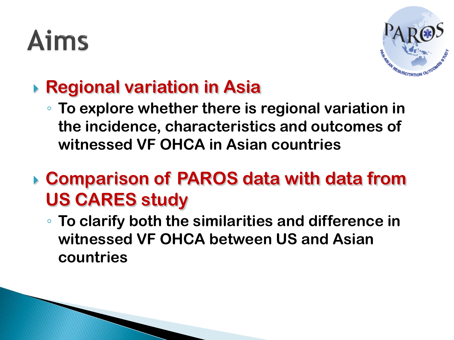# **Aims**



#### **Regional variation in Asia**

- **To explore whether there is regional variation in the incidence, characteristics and outcomes of witnessed VF OHCA in Asian countries**
- **Comparison of PAROS data with data from US CARES study**
	- **To clarify both the similarities and difference in witnessed VF OHCA between US and Asian countries**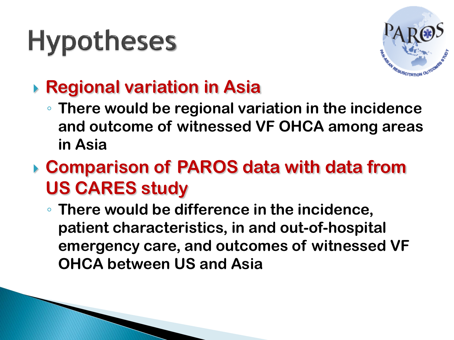# **Hypotheses**



#### **Regional variation in Asia**

- **There would be regional variation in the incidence and outcome of witnessed VF OHCA among areas in Asia**
- **Comparison of PAROS data with data from US CARES study**
	- **There would be difference in the incidence, patient characteristics, in and out-of-hospital emergency care, and outcomes of witnessed VF OHCA between US and Asia**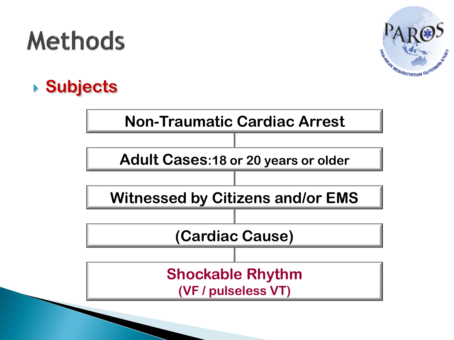### **Methods**



#### **Subjects**

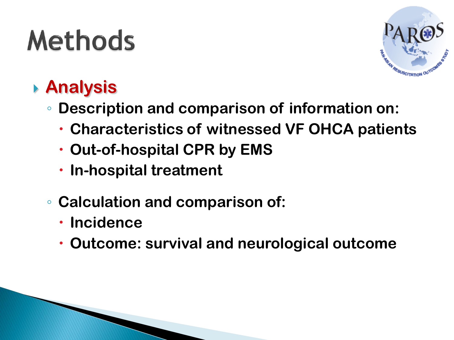# **Methods**



#### **Analysis**

- **Description and comparison of information on:**
	- **Characteristics of witnessed VF OHCA patients**
	- **Out-of-hospital CPR by EMS**
	- **In-hospital treatment**
- **Calculation and comparison of:**
	- **Incidence**
	- **Outcome: survival and neurological outcome**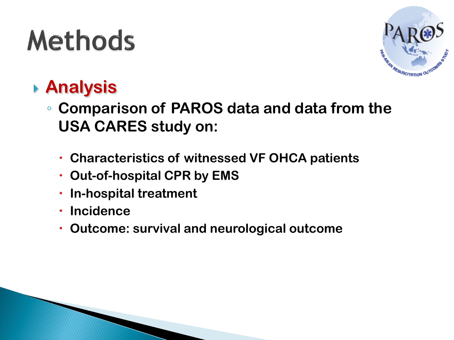# **Methods**



#### **Analysis**

- **Comparison of PAROS data and data from the USA CARES study on:**
	- **Characteristics of witnessed VF OHCA patients**
	- **Out-of-hospital CPR by EMS**
	- **In-hospital treatment**
	- **Incidence**
	- **Outcome: survival and neurological outcome**